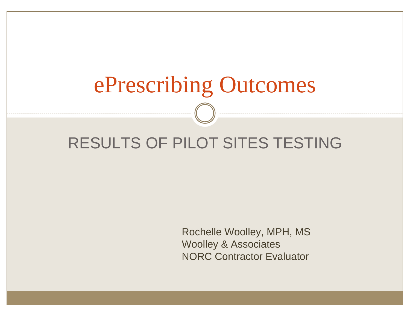# ePrescribing Outcomes

#### RESULTS OF PILOT SITES TESTING

Rochelle Woolley, MPH, MS Woolley & Associates NORC Contractor Evaluator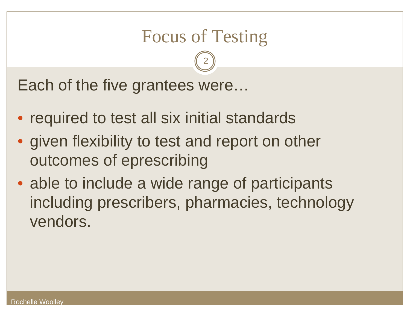#### Focus of Testing

2

Each of the five grantees were…

- required to test all six initial standards
- given flexibility to test and report on other outcomes of eprescribing
- able to include a wide range of participants including prescribers, pharmacies, technology vendors.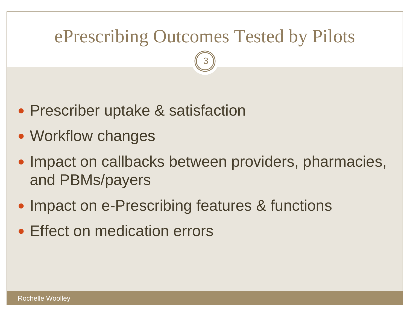#### ePrescribing Outcomes Tested by Pilots

- Prescriber uptake & satisfaction
- Workflow changes
- Impact on callbacks between providers, pharmacies, and PBMs/payers
- Impact on e-Prescribing features & functions
- Effect on medication errors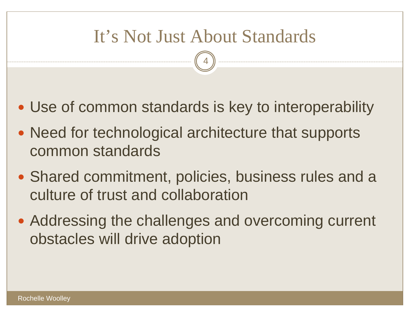#### It's Not Just About Standards

- Use of common standards is key to interoperability
- Need for technological architecture that supports common standards
- Shared commitment, policies, business rules and a culture of trust and collaboration
- Addressing the challenges and overcoming current obstacles will drive adoption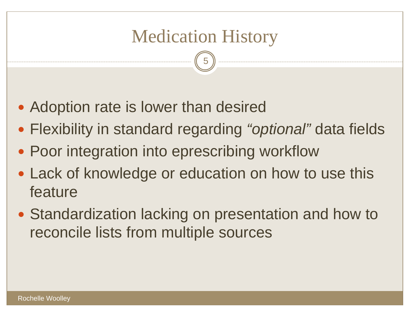## Medication History

- Adoption rate is lower than desired
- y Flexibility in standard regarding *"optional"* data fields
- Poor integration into eprescribing workflow
- Lack of knowledge or education on how to use this feature
- Standardization lacking on presentation and how to reconcile lists from multiple sources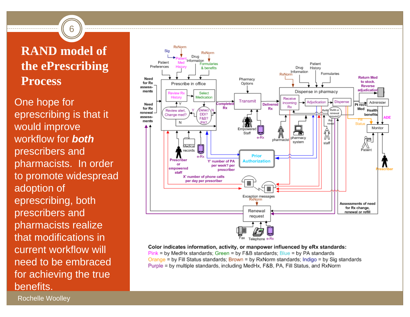#### **RAND model of the ePrescribing Process**

6

One hope for eprescribing is that it would improve workflow for *both*prescribers and pharmacists. In order to promote widespread adoption of eprescribing, both prescribers and pharmacists realize that modifications in current workflow will need to be embraced for achieving the true benefits.



Color indicates information, activity, or manpower influenced by eRx standards:  $Pink = by MedHx standards$ ; Green = by  $F&B$  standards; Blue = by PA standards Orange = by Fill Status standards; Brown = by RxNorm standards; Indigo = by Sig standards Purple = by multiple standards, including MedHx, F&B, PA, Fill Status, and RxNorm

Rochelle Woolley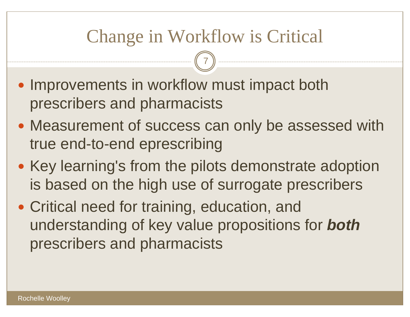### Change in Workflow is Critical

- Improvements in workflow must impact both prescribers and pharmacists
- Measurement of success can only be assessed with true end-to-end eprescribing
- Key learning's from the pilots demonstrate adoption is based on the high use of surrogate prescribers
- Critical need for training, education, and understanding of key value propositions for *both* prescribers and pharmacists